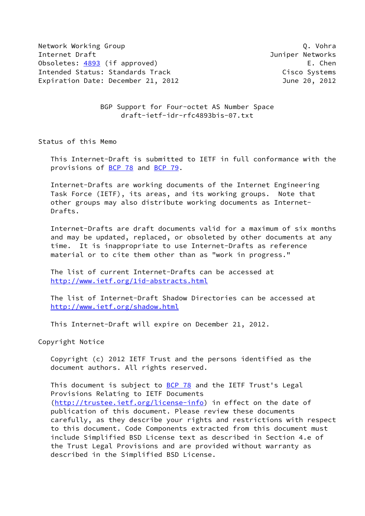Network Working Group Q. Vohra Q. Vohra Q. Vohra Q. Vohra Q. Vohra Q. Vohra Q. Vohra Q. Vohra Q. Vohra Q. Vohra Internet Draft **Internet Draft** And Tunism and Tunism and Tunism and Tunism and Tunism and Tunism and Tunism and Tunism and Tunism and Tunism and Tunism and Tunism and Tunism and Tunism and Tunism and Tunism and Tunism and Obsoletes: [4893](https://datatracker.ietf.org/doc/pdf/rfc4893) (if approved) example the control of the chence of the chence of the chence of the chence of the chence of the chence of the chence of the chence of the chence of the chence of the chence of the chence of t Intended Status: Standards Track Cisco Systems Expiration Date: December 21, 2012 June 20, 2012

 BGP Support for Four-octet AS Number Space draft-ietf-idr-rfc4893bis-07.txt

Status of this Memo

 This Internet-Draft is submitted to IETF in full conformance with the provisions of [BCP 78](https://datatracker.ietf.org/doc/pdf/bcp78) and [BCP 79](https://datatracker.ietf.org/doc/pdf/bcp79).

 Internet-Drafts are working documents of the Internet Engineering Task Force (IETF), its areas, and its working groups. Note that other groups may also distribute working documents as Internet- Drafts.

 Internet-Drafts are draft documents valid for a maximum of six months and may be updated, replaced, or obsoleted by other documents at any time. It is inappropriate to use Internet-Drafts as reference material or to cite them other than as "work in progress."

 The list of current Internet-Drafts can be accessed at <http://www.ietf.org/1id-abstracts.html>

 The list of Internet-Draft Shadow Directories can be accessed at <http://www.ietf.org/shadow.html>

This Internet-Draft will expire on December 21, 2012.

Copyright Notice

 Copyright (c) 2012 IETF Trust and the persons identified as the document authors. All rights reserved.

This document is subject to **[BCP 78](https://datatracker.ietf.org/doc/pdf/bcp78)** and the IETF Trust's Legal Provisions Relating to IETF Documents [\(http://trustee.ietf.org/license-info](http://trustee.ietf.org/license-info)) in effect on the date of publication of this document. Please review these documents carefully, as they describe your rights and restrictions with respect to this document. Code Components extracted from this document must include Simplified BSD License text as described in Section 4.e of the Trust Legal Provisions and are provided without warranty as described in the Simplified BSD License.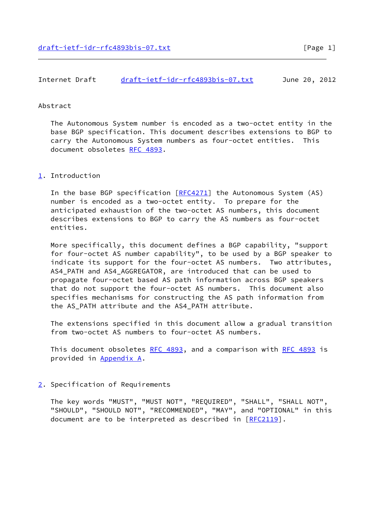| Internet Draft | draft-ietf-idr-rfc4893bis-07.txt | June 20, 2012 |  |
|----------------|----------------------------------|---------------|--|
|                |                                  |               |  |

## Abstract

 The Autonomous System number is encoded as a two-octet entity in the base BGP specification. This document describes extensions to BGP to carry the Autonomous System numbers as four-octet entities. This document obsoletes [RFC 4893.](https://datatracker.ietf.org/doc/pdf/rfc4893)

## <span id="page-1-0"></span>[1](#page-1-0). Introduction

In the base BGP specification [[RFC4271](https://datatracker.ietf.org/doc/pdf/rfc4271)] the Autonomous System (AS) number is encoded as a two-octet entity. To prepare for the anticipated exhaustion of the two-octet AS numbers, this document describes extensions to BGP to carry the AS numbers as four-octet entities.

 More specifically, this document defines a BGP capability, "support for four-octet AS number capability", to be used by a BGP speaker to indicate its support for the four-octet AS numbers. Two attributes, AS4\_PATH and AS4\_AGGREGATOR, are introduced that can be used to propagate four-octet based AS path information across BGP speakers that do not support the four-octet AS numbers. This document also specifies mechanisms for constructing the AS path information from the AS\_PATH attribute and the AS4\_PATH attribute.

 The extensions specified in this document allow a gradual transition from two-octet AS numbers to four-octet AS numbers.

This document obsoletes [RFC 4893](https://datatracker.ietf.org/doc/pdf/rfc4893), and a comparison with RFC 4893 is provided in [Appendix A.](#page-12-0)

## <span id="page-1-1"></span>[2](#page-1-1). Specification of Requirements

 The key words "MUST", "MUST NOT", "REQUIRED", "SHALL", "SHALL NOT", "SHOULD", "SHOULD NOT", "RECOMMENDED", "MAY", and "OPTIONAL" in this document are to be interpreted as described in [\[RFC2119](https://datatracker.ietf.org/doc/pdf/rfc2119)].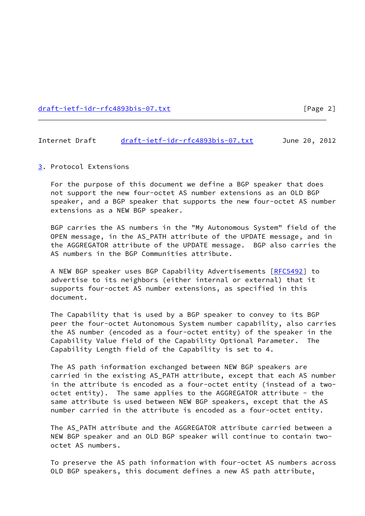[draft-ietf-idr-rfc4893bis-07.txt](https://datatracker.ietf.org/doc/pdf/draft-ietf-idr-rfc4893bis-07.txt) [Page 2]

#### Internet Draft [draft-ietf-idr-rfc4893bis-07.txt](https://datatracker.ietf.org/doc/pdf/draft-ietf-idr-rfc4893bis-07.txt) June 20, 2012

<span id="page-2-0"></span>[3](#page-2-0). Protocol Extensions

 For the purpose of this document we define a BGP speaker that does not support the new four-octet AS number extensions as an OLD BGP speaker, and a BGP speaker that supports the new four-octet AS number extensions as a NEW BGP speaker.

 BGP carries the AS numbers in the "My Autonomous System" field of the OPEN message, in the AS\_PATH attribute of the UPDATE message, and in the AGGREGATOR attribute of the UPDATE message. BGP also carries the AS numbers in the BGP Communities attribute.

A NEW BGP speaker uses BGP Capability Advertisements [\[RFC5492](https://datatracker.ietf.org/doc/pdf/rfc5492)] to advertise to its neighbors (either internal or external) that it supports four-octet AS number extensions, as specified in this document.

 The Capability that is used by a BGP speaker to convey to its BGP peer the four-octet Autonomous System number capability, also carries the AS number (encoded as a four-octet entity) of the speaker in the Capability Value field of the Capability Optional Parameter. The Capability Length field of the Capability is set to 4.

 The AS path information exchanged between NEW BGP speakers are carried in the existing AS\_PATH attribute, except that each AS number in the attribute is encoded as a four-octet entity (instead of a two octet entity). The same applies to the AGGREGATOR attribute - the same attribute is used between NEW BGP speakers, except that the AS number carried in the attribute is encoded as a four-octet entity.

The AS PATH attribute and the AGGREGATOR attribute carried between a NEW BGP speaker and an OLD BGP speaker will continue to contain two octet AS numbers.

 To preserve the AS path information with four-octet AS numbers across OLD BGP speakers, this document defines a new AS path attribute,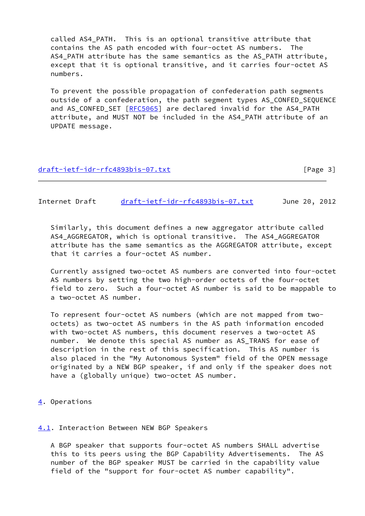called AS4\_PATH. This is an optional transitive attribute that contains the AS path encoded with four-octet AS numbers. The AS4 PATH attribute has the same semantics as the AS PATH attribute, except that it is optional transitive, and it carries four-octet AS numbers.

 To prevent the possible propagation of confederation path segments outside of a confederation, the path segment types AS\_CONFED\_SEQUENCE and AS\_CONFED\_SET [[RFC5065](https://datatracker.ietf.org/doc/pdf/rfc5065)] are declared invalid for the AS4\_PATH attribute, and MUST NOT be included in the AS4\_PATH attribute of an UPDATE message.

## [draft-ietf-idr-rfc4893bis-07.txt](https://datatracker.ietf.org/doc/pdf/draft-ietf-idr-rfc4893bis-07.txt) [Page 3]

Internet Draft [draft-ietf-idr-rfc4893bis-07.txt](https://datatracker.ietf.org/doc/pdf/draft-ietf-idr-rfc4893bis-07.txt) June 20, 2012

 Similarly, this document defines a new aggregator attribute called AS4\_AGGREGATOR, which is optional transitive. The AS4\_AGGREGATOR attribute has the same semantics as the AGGREGATOR attribute, except that it carries a four-octet AS number.

 Currently assigned two-octet AS numbers are converted into four-octet AS numbers by setting the two high-order octets of the four-octet field to zero. Such a four-octet AS number is said to be mappable to a two-octet AS number.

 To represent four-octet AS numbers (which are not mapped from two octets) as two-octet AS numbers in the AS path information encoded with two-octet AS numbers, this document reserves a two-octet AS number. We denote this special AS number as AS\_TRANS for ease of description in the rest of this specification. This AS number is also placed in the "My Autonomous System" field of the OPEN message originated by a NEW BGP speaker, if and only if the speaker does not have a (globally unique) two-octet AS number.

<span id="page-3-0"></span>[4](#page-3-0). Operations

## <span id="page-3-1"></span>[4.1](#page-3-1). Interaction Between NEW BGP Speakers

 A BGP speaker that supports four-octet AS numbers SHALL advertise this to its peers using the BGP Capability Advertisements. The AS number of the BGP speaker MUST be carried in the capability value field of the "support for four-octet AS number capability".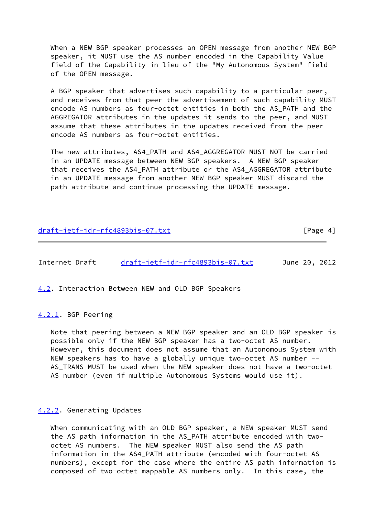When a NEW BGP speaker processes an OPEN message from another NEW BGP speaker, it MUST use the AS number encoded in the Capability Value field of the Capability in lieu of the "My Autonomous System" field of the OPEN message.

 A BGP speaker that advertises such capability to a particular peer, and receives from that peer the advertisement of such capability MUST encode AS numbers as four-octet entities in both the AS\_PATH and the AGGREGATOR attributes in the updates it sends to the peer, and MUST assume that these attributes in the updates received from the peer encode AS numbers as four-octet entities.

 The new attributes, AS4\_PATH and AS4\_AGGREGATOR MUST NOT be carried in an UPDATE message between NEW BGP speakers. A NEW BGP speaker that receives the AS4\_PATH attribute or the AS4\_AGGREGATOR attribute in an UPDATE message from another NEW BGP speaker MUST discard the path attribute and continue processing the UPDATE message.

## [draft-ietf-idr-rfc4893bis-07.txt](https://datatracker.ietf.org/doc/pdf/draft-ietf-idr-rfc4893bis-07.txt) [Page 4]

Internet Draft [draft-ietf-idr-rfc4893bis-07.txt](https://datatracker.ietf.org/doc/pdf/draft-ietf-idr-rfc4893bis-07.txt) June 20, 2012

<span id="page-4-0"></span>[4.2](#page-4-0). Interaction Between NEW and OLD BGP Speakers

## <span id="page-4-1"></span>[4.2.1](#page-4-1). BGP Peering

 Note that peering between a NEW BGP speaker and an OLD BGP speaker is possible only if the NEW BGP speaker has a two-octet AS number. However, this document does not assume that an Autonomous System with NEW speakers has to have a globally unique two-octet AS number -- AS\_TRANS MUST be used when the NEW speaker does not have a two-octet AS number (even if multiple Autonomous Systems would use it).

#### <span id="page-4-2"></span>[4.2.2](#page-4-2). Generating Updates

 When communicating with an OLD BGP speaker, a NEW speaker MUST send the AS path information in the AS\_PATH attribute encoded with two octet AS numbers. The NEW speaker MUST also send the AS path information in the AS4\_PATH attribute (encoded with four-octet AS numbers), except for the case where the entire AS path information is composed of two-octet mappable AS numbers only. In this case, the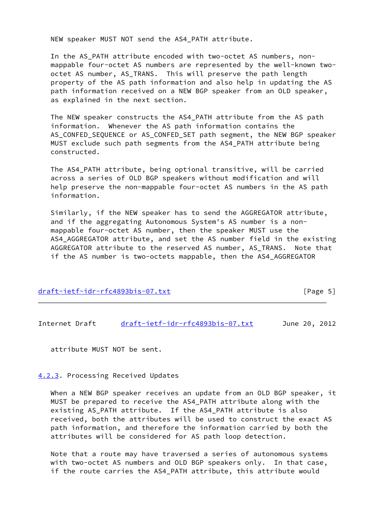NEW speaker MUST NOT send the AS4\_PATH attribute.

 In the AS\_PATH attribute encoded with two-octet AS numbers, non mappable four-octet AS numbers are represented by the well-known two octet AS number, AS\_TRANS. This will preserve the path length property of the AS path information and also help in updating the AS path information received on a NEW BGP speaker from an OLD speaker, as explained in the next section.

 The NEW speaker constructs the AS4\_PATH attribute from the AS path information. Whenever the AS path information contains the AS\_CONFED\_SEQUENCE or AS\_CONFED\_SET path segment, the NEW BGP speaker MUST exclude such path segments from the AS4\_PATH attribute being constructed.

The AS4 PATH attribute, being optional transitive, will be carried across a series of OLD BGP speakers without modification and will help preserve the non-mappable four-octet AS numbers in the AS path information.

 Similarly, if the NEW speaker has to send the AGGREGATOR attribute, and if the aggregating Autonomous System's AS number is a non mappable four-octet AS number, then the speaker MUST use the AS4\_AGGREGATOR attribute, and set the AS number field in the existing AGGREGATOR attribute to the reserved AS number, AS\_TRANS. Note that if the AS number is two-octets mappable, then the AS4\_AGGREGATOR

| draft-ietf-idr-rfc4893bis-07.txt | [Page 5] |
|----------------------------------|----------|
|                                  |          |

Internet Draft [draft-ietf-idr-rfc4893bis-07.txt](https://datatracker.ietf.org/doc/pdf/draft-ietf-idr-rfc4893bis-07.txt) June 20, 2012

attribute MUST NOT be sent.

<span id="page-5-0"></span>[4.2.3](#page-5-0). Processing Received Updates

 When a NEW BGP speaker receives an update from an OLD BGP speaker, it MUST be prepared to receive the AS4\_PATH attribute along with the existing AS\_PATH attribute. If the AS4\_PATH attribute is also received, both the attributes will be used to construct the exact AS path information, and therefore the information carried by both the attributes will be considered for AS path loop detection.

 Note that a route may have traversed a series of autonomous systems with two-octet AS numbers and OLD BGP speakers only. In that case, if the route carries the AS4\_PATH attribute, this attribute would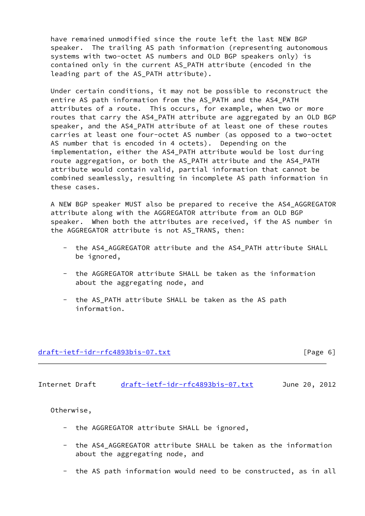have remained unmodified since the route left the last NEW BGP speaker. The trailing AS path information (representing autonomous systems with two-octet AS numbers and OLD BGP speakers only) is contained only in the current AS\_PATH attribute (encoded in the leading part of the AS\_PATH attribute).

 Under certain conditions, it may not be possible to reconstruct the entire AS path information from the AS\_PATH and the AS4\_PATH attributes of a route. This occurs, for example, when two or more routes that carry the AS4\_PATH attribute are aggregated by an OLD BGP speaker, and the AS4\_PATH attribute of at least one of these routes carries at least one four-octet AS number (as opposed to a two-octet AS number that is encoded in 4 octets). Depending on the implementation, either the AS4\_PATH attribute would be lost during route aggregation, or both the AS\_PATH attribute and the AS4\_PATH attribute would contain valid, partial information that cannot be combined seamlessly, resulting in incomplete AS path information in these cases.

 A NEW BGP speaker MUST also be prepared to receive the AS4\_AGGREGATOR attribute along with the AGGREGATOR attribute from an OLD BGP speaker. When both the attributes are received, if the AS number in the AGGREGATOR attribute is not AS\_TRANS, then:

- the AS4\_AGGREGATOR attribute and the AS4\_PATH attribute SHALL be ignored,
- the AGGREGATOR attribute SHALL be taken as the information about the aggregating node, and
- the AS\_PATH attribute SHALL be taken as the AS path information.

## [draft-ietf-idr-rfc4893bis-07.txt](https://datatracker.ietf.org/doc/pdf/draft-ietf-idr-rfc4893bis-07.txt) [Page 6]

Internet Draft [draft-ietf-idr-rfc4893bis-07.txt](https://datatracker.ietf.org/doc/pdf/draft-ietf-idr-rfc4893bis-07.txt) June 20, 2012

Otherwise,

- the AGGREGATOR attribute SHALL be ignored,
- the AS4 AGGREGATOR attribute SHALL be taken as the information about the aggregating node, and
- the AS path information would need to be constructed, as in all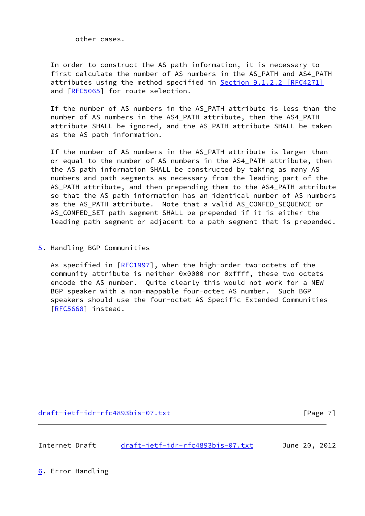other cases.

 In order to construct the AS path information, it is necessary to first calculate the number of AS numbers in the AS\_PATH and AS4\_PATH attributes using the method specified in **Section [9.1.2.2 \[RFC4271\]](https://datatracker.ietf.org/doc/pdf/rfc4271#section-9.1.2.2)** and [\[RFC5065](https://datatracker.ietf.org/doc/pdf/rfc5065)] for route selection.

 If the number of AS numbers in the AS\_PATH attribute is less than the number of AS numbers in the AS4\_PATH attribute, then the AS4\_PATH attribute SHALL be ignored, and the AS\_PATH attribute SHALL be taken as the AS path information.

 If the number of AS numbers in the AS\_PATH attribute is larger than or equal to the number of AS numbers in the AS4\_PATH attribute, then the AS path information SHALL be constructed by taking as many AS numbers and path segments as necessary from the leading part of the AS\_PATH attribute, and then prepending them to the AS4\_PATH attribute so that the AS path information has an identical number of AS numbers as the AS PATH attribute. Note that a valid AS CONFED SEQUENCE or AS\_CONFED\_SET path segment SHALL be prepended if it is either the leading path segment or adjacent to a path segment that is prepended.

<span id="page-7-0"></span>[5](#page-7-0). Handling BGP Communities

As specified in [\[RFC1997](https://datatracker.ietf.org/doc/pdf/rfc1997)], when the high-order two-octets of the community attribute is neither 0x0000 nor 0xffff, these two octets encode the AS number. Quite clearly this would not work for a NEW BGP speaker with a non-mappable four-octet AS number. Such BGP speakers should use the four-octet AS Specific Extended Communities [\[RFC5668](https://datatracker.ietf.org/doc/pdf/rfc5668)] instead.

[draft-ietf-idr-rfc4893bis-07.txt](https://datatracker.ietf.org/doc/pdf/draft-ietf-idr-rfc4893bis-07.txt) [Page 7]

Internet Draft [draft-ietf-idr-rfc4893bis-07.txt](https://datatracker.ietf.org/doc/pdf/draft-ietf-idr-rfc4893bis-07.txt) June 20, 2012

<span id="page-7-1"></span>[6](#page-7-1). Error Handling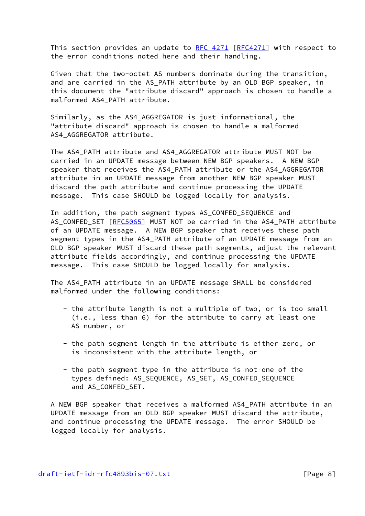This section provides an update to [RFC 4271 \[RFC4271](https://datatracker.ietf.org/doc/pdf/rfc4271)] with respect to the error conditions noted here and their handling.

 Given that the two-octet AS numbers dominate during the transition, and are carried in the AS PATH attribute by an OLD BGP speaker, in this document the "attribute discard" approach is chosen to handle a malformed AS4\_PATH attribute.

 Similarly, as the AS4\_AGGREGATOR is just informational, the "attribute discard" approach is chosen to handle a malformed AS4 AGGREGATOR attribute.

The AS4 PATH attribute and AS4 AGGREGATOR attribute MUST NOT be carried in an UPDATE message between NEW BGP speakers. A NEW BGP speaker that receives the AS4 PATH attribute or the AS4 AGGREGATOR attribute in an UPDATE message from another NEW BGP speaker MUST discard the path attribute and continue processing the UPDATE message. This case SHOULD be logged locally for analysis.

 In addition, the path segment types AS\_CONFED\_SEQUENCE and AS\_CONFED\_SET [[RFC5065](https://datatracker.ietf.org/doc/pdf/rfc5065)] MUST NOT be carried in the AS4\_PATH attribute of an UPDATE message. A NEW BGP speaker that receives these path segment types in the AS4\_PATH attribute of an UPDATE message from an OLD BGP speaker MUST discard these path segments, adjust the relevant attribute fields accordingly, and continue processing the UPDATE message. This case SHOULD be logged locally for analysis.

 The AS4\_PATH attribute in an UPDATE message SHALL be considered malformed under the following conditions:

- the attribute length is not a multiple of two, or is too small (i.e., less than 6) for the attribute to carry at least one AS number, or
- the path segment length in the attribute is either zero, or is inconsistent with the attribute length, or
- the path segment type in the attribute is not one of the types defined: AS\_SEQUENCE, AS\_SET, AS\_CONFED\_SEQUENCE and AS\_CONFED\_SET.

 A NEW BGP speaker that receives a malformed AS4\_PATH attribute in an UPDATE message from an OLD BGP speaker MUST discard the attribute, and continue processing the UPDATE message. The error SHOULD be logged locally for analysis.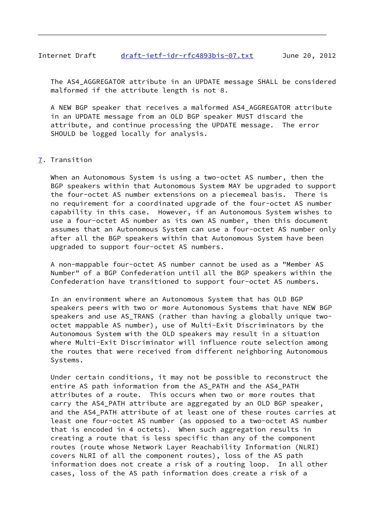## Internet Draft [draft-ietf-idr-rfc4893bis-07.txt](https://datatracker.ietf.org/doc/pdf/draft-ietf-idr-rfc4893bis-07.txt) June 20, 2012

 The AS4\_AGGREGATOR attribute in an UPDATE message SHALL be considered malformed if the attribute length is not 8.

 A NEW BGP speaker that receives a malformed AS4\_AGGREGATOR attribute in an UPDATE message from an OLD BGP speaker MUST discard the attribute, and continue processing the UPDATE message. The error SHOULD be logged locally for analysis.

## <span id="page-9-0"></span>[7](#page-9-0). Transition

When an Autonomous System is using a two-octet AS number, then the BGP speakers within that Autonomous System MAY be upgraded to support the four-octet AS number extensions on a piecemeal basis. There is no requirement for a coordinated upgrade of the four-octet AS number capability in this case. However, if an Autonomous System wishes to use a four-octet AS number as its own AS number, then this document assumes that an Autonomous System can use a four-octet AS number only after all the BGP speakers within that Autonomous System have been upgraded to support four-octet AS numbers.

 A non-mappable four-octet AS number cannot be used as a "Member AS Number" of a BGP Confederation until all the BGP speakers within the Confederation have transitioned to support four-octet AS numbers.

 In an environment where an Autonomous System that has OLD BGP speakers peers with two or more Autonomous Systems that have NEW BGP speakers and use AS\_TRANS (rather than having a globally unique two octet mappable AS number), use of Multi-Exit Discriminators by the Autonomous System with the OLD speakers may result in a situation where Multi-Exit Discriminator will influence route selection among the routes that were received from different neighboring Autonomous Systems.

 Under certain conditions, it may not be possible to reconstruct the entire AS path information from the AS\_PATH and the AS4\_PATH attributes of a route. This occurs when two or more routes that carry the AS4\_PATH attribute are aggregated by an OLD BGP speaker, and the AS4\_PATH attribute of at least one of these routes carries at least one four-octet AS number (as opposed to a two-octet AS number that is encoded in 4 octets). When such aggregation results in creating a route that is less specific than any of the component routes (route whose Network Layer Reachability Information (NLRI) covers NLRI of all the component routes), loss of the AS path information does not create a risk of a routing loop. In all other cases, loss of the AS path information does create a risk of a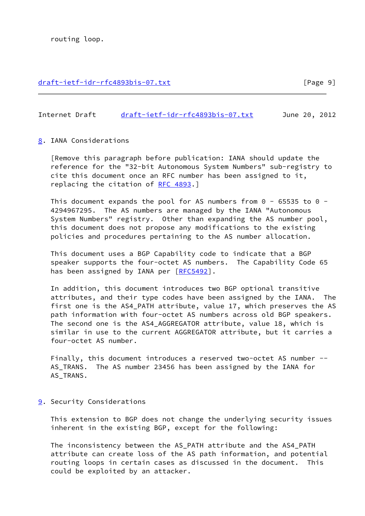## [draft-ietf-idr-rfc4893bis-07.txt](https://datatracker.ietf.org/doc/pdf/draft-ietf-idr-rfc4893bis-07.txt) [Page 9]

## Internet Draft [draft-ietf-idr-rfc4893bis-07.txt](https://datatracker.ietf.org/doc/pdf/draft-ietf-idr-rfc4893bis-07.txt) June 20, 2012

## <span id="page-10-0"></span>[8](#page-10-0). IANA Considerations

 [Remove this paragraph before publication: IANA should update the reference for the "32-bit Autonomous System Numbers" sub-registry to cite this document once an RFC number has been assigned to it, replacing the citation of [RFC 4893](https://datatracker.ietf.org/doc/pdf/rfc4893).]

This document expands the pool for AS numbers from  $0 - 65535$  to  $0 - 1$  4294967295. The AS numbers are managed by the IANA "Autonomous System Numbers" registry. Other than expanding the AS number pool, this document does not propose any modifications to the existing policies and procedures pertaining to the AS number allocation.

 This document uses a BGP Capability code to indicate that a BGP speaker supports the four-octet AS numbers. The Capability Code 65 has been assigned by IANA per [[RFC5492](https://datatracker.ietf.org/doc/pdf/rfc5492)].

 In addition, this document introduces two BGP optional transitive attributes, and their type codes have been assigned by the IANA. The first one is the AS4\_PATH attribute, value 17, which preserves the AS path information with four-octet AS numbers across old BGP speakers. The second one is the AS4\_AGGREGATOR attribute, value 18, which is similar in use to the current AGGREGATOR attribute, but it carries a four-octet AS number.

 Finally, this document introduces a reserved two-octet AS number -- AS\_TRANS. The AS number 23456 has been assigned by the IANA for AS\_TRANS.

## <span id="page-10-1"></span>[9](#page-10-1). Security Considerations

 This extension to BGP does not change the underlying security issues inherent in the existing BGP, except for the following:

 The inconsistency between the AS\_PATH attribute and the AS4\_PATH attribute can create loss of the AS path information, and potential routing loops in certain cases as discussed in the document. This could be exploited by an attacker.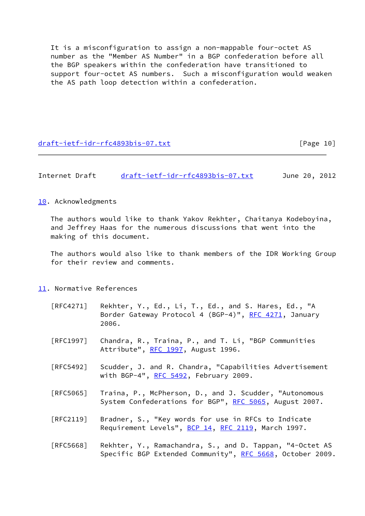It is a misconfiguration to assign a non-mappable four-octet AS number as the "Member AS Number" in a BGP confederation before all the BGP speakers within the confederation have transitioned to support four-octet AS numbers. Such a misconfiguration would weaken the AS path loop detection within a confederation.

[draft-ietf-idr-rfc4893bis-07.txt](https://datatracker.ietf.org/doc/pdf/draft-ietf-idr-rfc4893bis-07.txt) [Page 10]

# Internet Draft [draft-ietf-idr-rfc4893bis-07.txt](https://datatracker.ietf.org/doc/pdf/draft-ietf-idr-rfc4893bis-07.txt) June 20, 2012

<span id="page-11-0"></span>[10.](#page-11-0) Acknowledgments

 The authors would like to thank Yakov Rekhter, Chaitanya Kodeboyina, and Jeffrey Haas for the numerous discussions that went into the making of this document.

 The authors would also like to thank members of the IDR Working Group for their review and comments.

- <span id="page-11-1"></span>[11.](#page-11-1) Normative References
	- [RFC4271] Rekhter, Y., Ed., Li, T., Ed., and S. Hares, Ed., "A Border Gateway Protocol 4 (BGP-4)", [RFC 4271](https://datatracker.ietf.org/doc/pdf/rfc4271), January 2006.
	- [RFC1997] Chandra, R., Traina, P., and T. Li, "BGP Communities Attribute", [RFC 1997](https://datatracker.ietf.org/doc/pdf/rfc1997), August 1996.
	- [RFC5492] Scudder, J. and R. Chandra, "Capabilities Advertisement with BGP-4",  $RFC 5492$ , February 2009.
	- [RFC5065] Traina, P., McPherson, D., and J. Scudder, "Autonomous System Confederations for BGP", [RFC 5065,](https://datatracker.ietf.org/doc/pdf/rfc5065) August 2007.
	- [RFC2119] Bradner, S., "Key words for use in RFCs to Indicate Requirement Levels", [BCP 14](https://datatracker.ietf.org/doc/pdf/bcp14), [RFC 2119](https://datatracker.ietf.org/doc/pdf/rfc2119), March 1997.
	- [RFC5668] Rekhter, Y., Ramachandra, S., and D. Tappan, "4-Octet AS Specific BGP Extended Community", [RFC 5668](https://datatracker.ietf.org/doc/pdf/rfc5668), October 2009.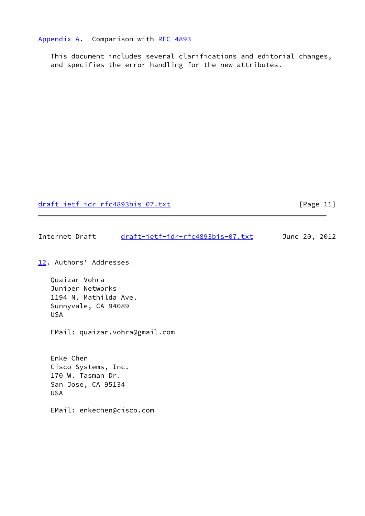## <span id="page-12-0"></span>[Appendix A.](#page-12-0) Comparison with [RFC 4893](https://datatracker.ietf.org/doc/pdf/rfc4893)

 This document includes several clarifications and editorial changes, and specifies the error handling for the new attributes.

[draft-ietf-idr-rfc4893bis-07.txt](https://datatracker.ietf.org/doc/pdf/draft-ietf-idr-rfc4893bis-07.txt) [Page 11]

Internet Draft [draft-ietf-idr-rfc4893bis-07.txt](https://datatracker.ietf.org/doc/pdf/draft-ietf-idr-rfc4893bis-07.txt) June 20, 2012

<span id="page-12-1"></span>[12.](#page-12-1) Authors' Addresses

 Quaizar Vohra Juniper Networks 1194 N. Mathilda Ave. Sunnyvale, CA 94089 USA

EMail: quaizar.vohra@gmail.com

 Enke Chen Cisco Systems, Inc. 170 W. Tasman Dr. San Jose, CA 95134 USA

EMail: enkechen@cisco.com